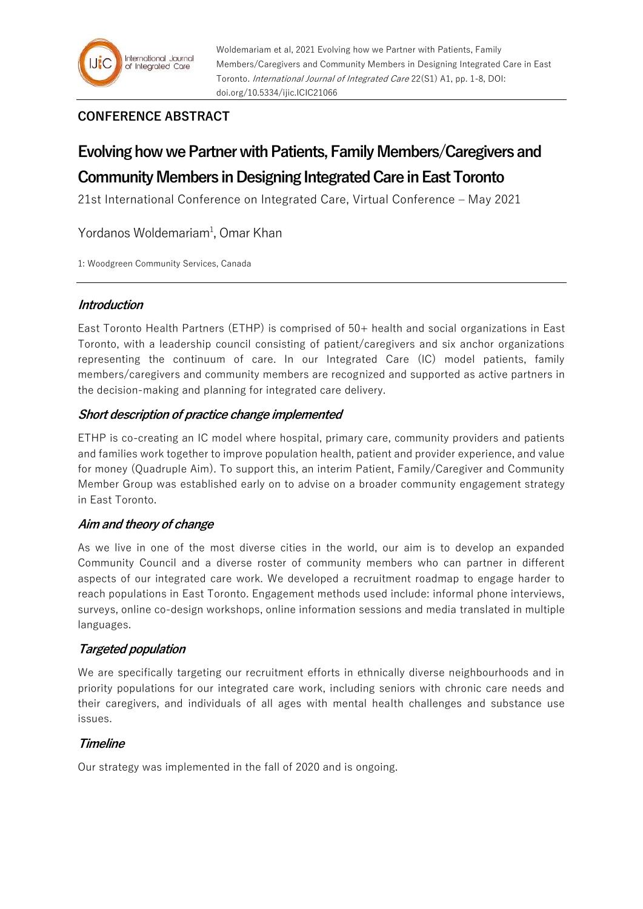## **CONFERENCE ABSTRACT**

# **Evolving how we Partner with Patients, Family Members/Caregivers and Community Members in Designing Integrated Care in East Toronto**

21st International Conference on Integrated Care, Virtual Conference – May 2021

Yordanos Woldemariam<sup>1</sup>, Omar Khan

1: Woodgreen Community Services, Canada

## **Introduction**

East Toronto Health Partners (ETHP) is comprised of 50+ health and social organizations in East Toronto, with a leadership council consisting of patient/caregivers and six anchor organizations representing the continuum of care. In our Integrated Care (IC) model patients, family members/caregivers and community members are recognized and supported as active partners in the decision-making and planning for integrated care delivery.

### **Short description of practice change implemented**

ETHP is co-creating an IC model where hospital, primary care, community providers and patients and families work together to improve population health, patient and provider experience, and value for money (Quadruple Aim). To support this, an interim Patient, Family/Caregiver and Community Member Group was established early on to advise on a broader community engagement strategy in East Toronto.

### **Aim and theory of change**

As we live in one of the most diverse cities in the world, our aim is to develop an expanded Community Council and a diverse roster of community members who can partner in different aspects of our integrated care work. We developed a recruitment roadmap to engage harder to reach populations in East Toronto. Engagement methods used include: informal phone interviews, surveys, online co-design workshops, online information sessions and media translated in multiple languages.

### **Targeted population**

We are specifically targeting our recruitment efforts in ethnically diverse neighbourhoods and in priority populations for our integrated care work, including seniors with chronic care needs and their caregivers, and individuals of all ages with mental health challenges and substance use issues.

### **Timeline**

Our strategy was implemented in the fall of 2020 and is ongoing.